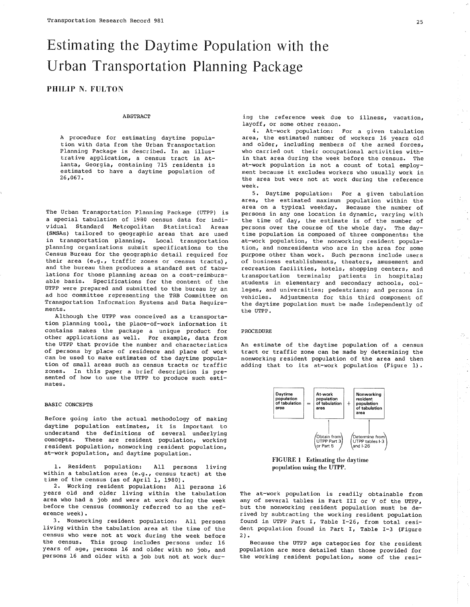# Estimating the Daytime Population with the Urban Transportation Planning Pack age

## PHILIP N. FULTON

#### **ABSTRACT**

A procedure for estimating daytime population with data from the Urban Transportation Planning Package is described. In an i1lustrative application, a census tract in Atlanta, Georgia, containing 715 residents is estimated to have a daytime population of 26,067 .

The Urban Transportation Planning Package (UTpp) is a special tabulation of 1980 census data for individual Standard Metropolitan Statistical Areas (SMSAs) tailored to geographic areas that are used in transportation planning. Local transportation planning organizations subnit specificatíons to the Census Bureau for the geographic detail required for their area (e.g., traffic zones or census tracts), and the bureau then produces a standard set of tabulations for those planning areas on a cost-reimbursabLe basis. Specifications for the content of the UTPP were prepared and submitted to the bureau by an ad hoc committee representing the TRB Committee on Transportation Information Systems and Data Requirements.

Although the UTPP was conceived as a transportation planning tool, the place-of-work information it contains makes the package a unique product for other applications as well. For example, data from the UTPP that provide the number and characteristics of persons by plâce of residence and place of work can be used to make estimates of the daytime population of small areas such as census tracts or traffic zones. In this paper a brief description is presented of how to use the UTPP to produce such estinates.

#### BASIC CONCEPTS

Before going into the actual methodology of making daytime population estimates, it is important to understand the definitions of several underlying concepts. These are resident population, working resident population, nonworking resident population, at-work population, and daytime population.

1. Resident population: All persons living within a tabulation area (e.g., census tract) at the time of the census (as of April 1, 1980).

2. Working resident population: All persons 16 years old and older living within the tabulation area nho had a job and were at work during the week before the census (commonly referred to as the reference week).

3. Nonworking resident population: AII persons living within the tabulation area at the time of the census who were not at work during the week before<br>the census. This group includes persons under 16 years of age, persons 16 and older with no job, and persons 16 and older with a job but not at work dur-

ing the reference week due to illness, vacation, layoff, or some other reason.

4. At-work population: For a given tabulation area, the estimated number of workers 16 years old and older, including members of the armed forces, who carried out their occupational activities within that area during the week before the census. The at-work population is not a count of total enploy ment because it excludes workers who usually work in the area but were not at work during the reference week.

5. Daytirne population: For a given tabulation area, the estimated maximum population within the area on a typical weekday. Because the number of persons in any one location is dynamic, varying with the time of day, the estimate is of the number of persons over the course of the whole day. The daytime population is composed of three components: the at-work population, the nonworking resident population, and nonresidents who are in the area for some purpose other than work. Such persons include users of business establishments, theaters, amusement and recreation facilities, hotels, shopping centers, and transportation terminals; patients in hospitals; students in elementary and secondary schools, colleges, and universities; pedestrians; and persons in vehicles. Adjustnents for this third component of the daytime population must be made independently of the UTPP.

#### PROCEDURE

An estinate of the daytine population of a census tract or traffic zone can be made by determining the nonworking resident population of the area and then adding that to its at-work population (Figure 1).





The at-work population is readily obtaínable from any of several tables in Part III or V of the UTPP, but the nonworking resident population must be derived by subtracting the working resident population found in UTPP Part I, Tab1e I-26, fron total resident population found in Part I, Table I-3 (Figure 2).

Because the UTPP age categories for the resident population are more detailed than those provided for the working resident population, some of the resi $\hat{g}$ 

 $\mathbb{C}^2$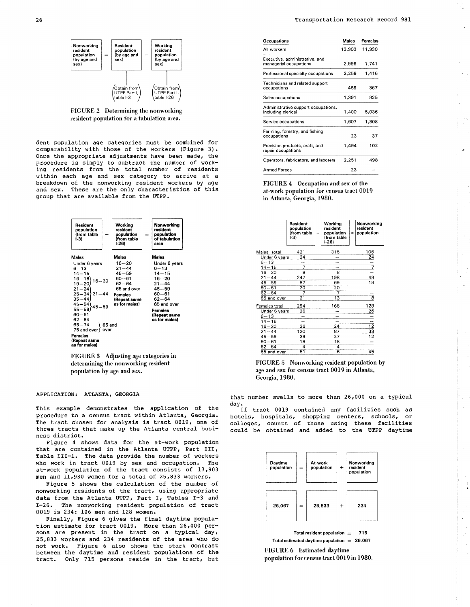÷.

 $\bar{z}$ 

 $\bar{\lambda}$ 

 $\epsilon$ 

 $\mathbb{R}^2$ 

 $\hat{\mathcal{A}}$ 

÷.

 $\hat{\boldsymbol{\epsilon}}$ 



FIGURE 2 Determining the nonworking resident population for a tabulation area.

dent population age categories must be combined for comparability with those of the workers (Figure 3). Once the appropriate adjustments have been made, the procedure is simply to subtract the number of working residents from the total number of residents within each age and sex category to arrive at a breakdown of the nonworking resident workers by age and sex. These are the only characteristics of this group that are available from the UTPP.



FIGURE 3 Adjusting age categories in determining the nonworking resident population by age and sex.

#### APPLICATION: ATLANTA, GEORGIA

This example demonstrates the application of the procedure to a census tract within Atlanta, Georgia. The tract chosen for analysis is tract 0019, one of three tracts that make up the Atlanta central business district.

Figure 4 shows data for the at-work population that are contained in the Atlanta UTPP, Part III, Table III-1. The data provide the number of workers who work in tract 0019 by sex and occupation. The at-work population of the tract consists of 13,903 men and 11,930 women for a total of 25,833 workers.

Figure 5 shows the calculation of the number of nonworking residents of the tract, using appropriate data from the Atlanta UTPP, Part I, Tables I-3 and I-26. The nonworking resident population of tract 0019 is 234: 106 men and 128 women.

Finally, Figure 6 gives the final daytime population estimate for tract 0019. More than 26,000 persons are present in the tract on a typical day, 25,833 workers and 234 residents of the area who do not work. Figure 6 also shows the stark contrast between the daytime and resident populations of the tract. Only 715 persons reside in the tract, but

| Occupations                                               | Males  | Females<br>11.930 |  |
|-----------------------------------------------------------|--------|-------------------|--|
| All workers                                               | 13,903 |                   |  |
| Executive, administrative, and<br>managerial occupations  | 2.996  | 1,741             |  |
| Professional specialty occupations                        | 2,259  | 1,416             |  |
| Technicians and related support<br>occupations            | 459    | 367               |  |
| Sales occupations                                         | 1.391  | 925               |  |
| Administrative support occupations,<br>including clerical | 1,400  | 5,036             |  |
| Service occupations                                       | 1,607  | 1,808             |  |
| Farming, forestry, and fishing<br>occupations             | 23     | 37                |  |
| Precision products, craft, and<br>repair occupations      | 1,494  | 102               |  |
| Operators, fabricators, and laborers                      | 2,251  | 498               |  |
| <b>Armed Forces</b>                                       | 23     |                   |  |

FIGURE 4 Occupation and sex of the at-work population for census tract 0019 in Atlanta, Georgia, 1980.

|               | Resident<br>population<br>(from table<br>1-31 | Working<br>resident<br>population<br>(from table<br>$1-26$ | $\equiv$ | Nonworking<br>resident<br>population |
|---------------|-----------------------------------------------|------------------------------------------------------------|----------|--------------------------------------|
| Males total   | 421                                           | 315                                                        |          | 106                                  |
| Under 6 years | 24                                            |                                                            |          | 24                                   |
| $6 - 13$      |                                               |                                                            |          |                                      |
| $14 - 15$     | 7                                             |                                                            |          | 7                                    |
| $16 - 20$     | 8                                             | 8                                                          |          |                                      |
| $21 - 44$     | 247                                           | 198                                                        |          | 49                                   |
| $45 - 59$     | 87                                            | 69                                                         |          | 18                                   |
| $60 - 61$     | 20                                            | 20                                                         |          |                                      |
| $62 - 64$     | 7                                             | 7                                                          |          |                                      |
| 65 and over   | 21                                            | 13                                                         |          | $\bar{s}$                            |
| Females total | 294                                           | 166                                                        |          | 128                                  |
| Under 6 years | 26                                            |                                                            |          | 26                                   |
| $6 - 13$      |                                               |                                                            |          |                                      |
| $14 - 15$     |                                               | www.                                                       |          |                                      |
| $16 - 20$     | 36                                            | 24                                                         |          |                                      |
| $21 - 44$     | 120                                           | 87                                                         |          | $\frac{12}{33}$                      |
| $45 - 59$     | 39                                            | 27                                                         |          | $\overline{12}$                      |
| $60 - 61$     | 18                                            | 18                                                         |          |                                      |
| $62 - 64$     | 4                                             | 4                                                          |          |                                      |
| 65 and over   | 51                                            | 6                                                          |          | 45                                   |

FIGURE 5 Nonworking resident population by age and sex for census tract 0019 in Atlanta, Georgia, 1980.

that number swells to more than 26,000 on a typical day.<br>If tract 0019 contained any facilities such as

hotels, hospitals, shopping centers, schools, or colleges, counts of those using these facilities could be obtained and added to the UTPP daytime



**FIGURE 6** Estimated daytime population for census tract 0019 in 1980.